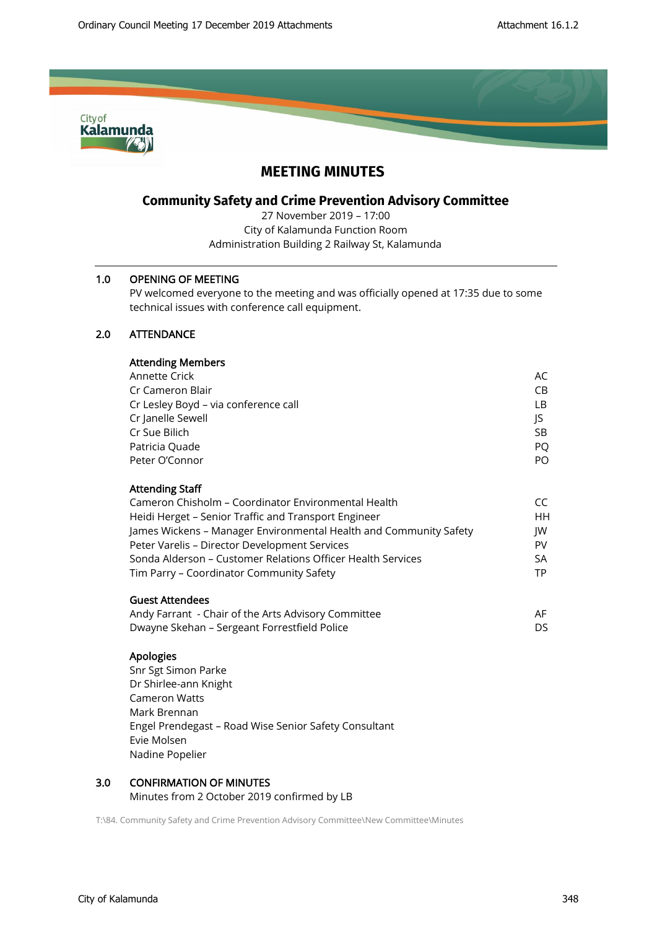

# **MEETING MINUTES**

# **Community Safety and Crime Prevention Advisory Committee**

27 November 2019 – 17:00 City of Kalamunda Function Room Administration Building 2 Railway St, Kalamunda

### 1.0 OPENING OF MEETING

PV welcomed everyone to the meeting and was officially opened at 17:35 due to some technical issues with conference call equipment.

## 2.0 ATTENDANCE

| Annette Crick                                                     | AC. |
|-------------------------------------------------------------------|-----|
| Cr Cameron Blair                                                  | CB. |
| Cr Lesley Boyd - via conference call                              | LB. |
| Cr Janelle Sewell                                                 | JS  |
| Cr Sue Bilich                                                     | SB. |
| Patricia Quade                                                    | PO. |
| Peter O'Connor                                                    | PO. |
| <b>Attending Staff</b>                                            |     |
| Cameron Chisholm – Coordinator Environmental Health               | CC. |
| Heidi Herget – Senior Traffic and Transport Engineer              | HH  |
| James Wickens - Manager Environmental Health and Community Safety | IW  |
| Peter Varelis - Director Development Services                     | PV  |
| Sonda Alderson – Customer Relations Officer Health Services       | SA  |
| Tim Parry – Coordinator Community Safety                          | TP  |

### Guest Attendees

| Andy Farrant  - Chair of the Arts Advisory Committee | AF. |
|------------------------------------------------------|-----|
| Dwayne Skehan – Sergeant Forrestfield Police         | DS  |

#### Apologies

Snr Sgt Simon Parke Dr Shirlee-ann Knight Cameron Watts Mark Brennan Engel Prendegast – Road Wise Senior Safety Consultant Evie Molsen Nadine Popelier

## 3.0 CONFIRMATION OF MINUTES

Minutes from 2 October 2019 confirmed by LB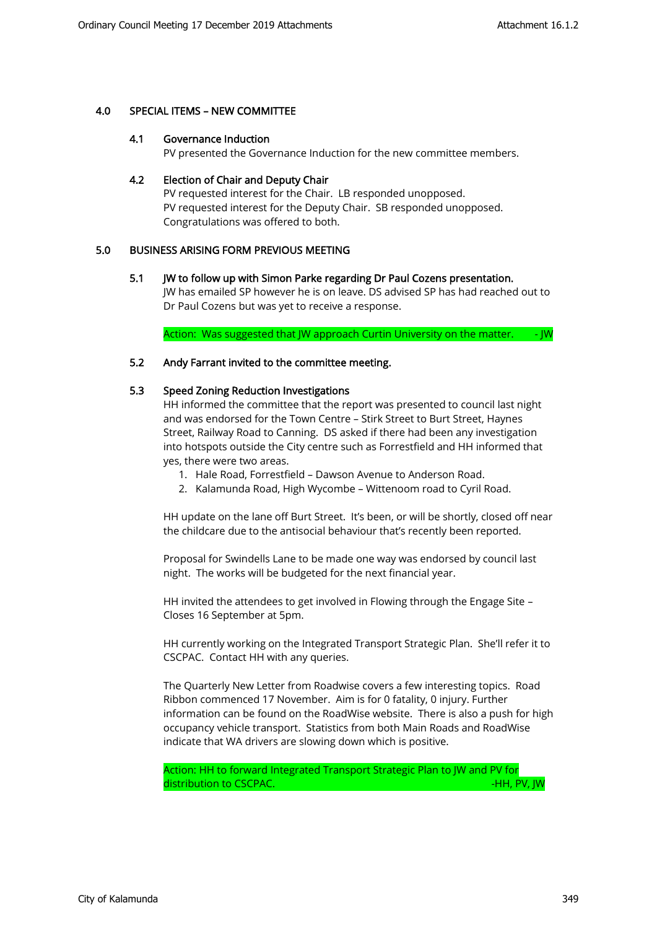### 4.0 SPECIAL ITEMS – NEW COMMITTEE

#### 4.1 Governance Induction

PV presented the Governance Induction for the new committee members.

#### 4.2 Election of Chair and Deputy Chair

PV requested interest for the Chair. LB responded unopposed. PV requested interest for the Deputy Chair. SB responded unopposed. Congratulations was offered to both.

### 5.0 BUSINESS ARISING FORM PREVIOUS MEETING

#### 5.1 JW to follow up with Simon Parke regarding Dr Paul Cozens presentation.

JW has emailed SP however he is on leave. DS advised SP has had reached out to Dr Paul Cozens but was yet to receive a response.

Action: Was suggested that JW approach Curtin University on the matter. - JW

#### 5.2 Andy Farrant invited to the committee meeting.

### 5.3 Speed Zoning Reduction Investigations

HH informed the committee that the report was presented to council last night and was endorsed for the Town Centre – Stirk Street to Burt Street, Haynes Street, Railway Road to Canning. DS asked if there had been any investigation into hotspots outside the City centre such as Forrestfield and HH informed that yes, there were two areas.

- 1. Hale Road, Forrestfield Dawson Avenue to Anderson Road.
- 2. Kalamunda Road, High Wycombe Wittenoom road to Cyril Road.

HH update on the lane off Burt Street. It's been, or will be shortly, closed off near the childcare due to the antisocial behaviour that's recently been reported.

Proposal for Swindells Lane to be made one way was endorsed by council last night. The works will be budgeted for the next financial year.

HH invited the attendees to get involved in Flowing through the Engage Site – Closes 16 September at 5pm.

HH currently working on the Integrated Transport Strategic Plan. She'll refer it to CSCPAC. Contact HH with any queries.

The Quarterly New Letter from Roadwise covers a few interesting topics. Road Ribbon commenced 17 November. Aim is for 0 fatality, 0 injury. Further information can be found on the RoadWise website. There is also a push for high occupancy vehicle transport. Statistics from both Main Roads and RoadWise indicate that WA drivers are slowing down which is positive.

Action: HH to forward Integrated Transport Strategic Plan to JW and PV for distribution to CSCPAC. And the control of the control of the control of the control of the control of the control of the control of the control of the control of the control of the control of the control of the control of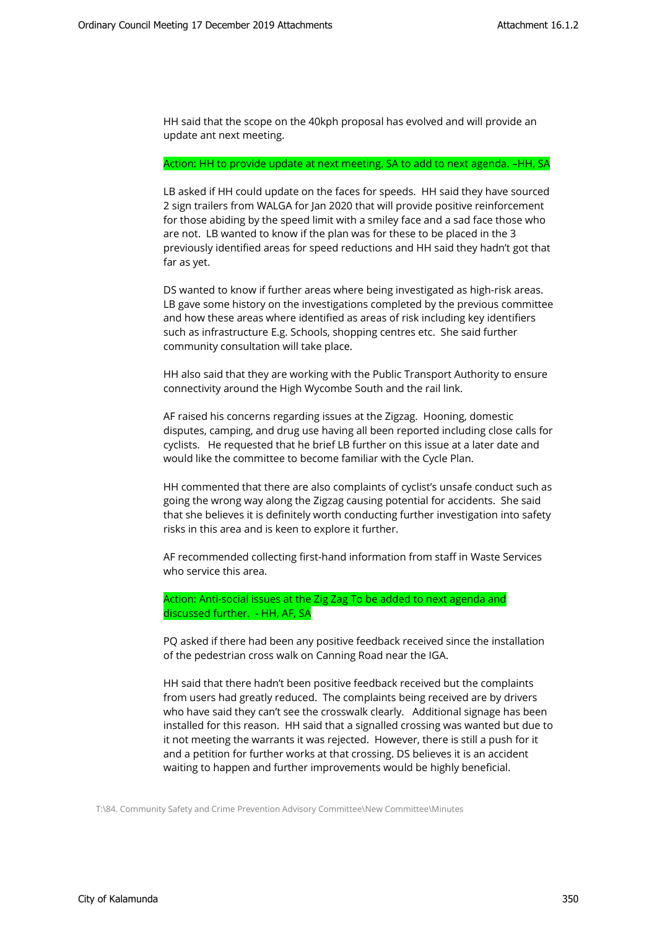HH said that the scope on the 40kph proposal has evolved and will provide an update ant next meeting.

#### Action: HH to provide update at next meeting. SA to add to next agenda. –HH, SA

LB asked if HH could update on the faces for speeds. HH said they have sourced 2 sign trailers from WALGA for Jan 2020 that will provide positive reinforcement for those abiding by the speed limit with a smiley face and a sad face those who are not. LB wanted to know if the plan was for these to be placed in the 3 previously identified areas for speed reductions and HH said they hadn't got that far as yet.

DS wanted to know if further areas where being investigated as high-risk areas. LB gave some history on the investigations completed by the previous committee and how these areas where identified as areas of risk including key identifiers such as infrastructure E.g. Schools, shopping centres etc. She said further community consultation will take place.

HH also said that they are working with the Public Transport Authority to ensure connectivity around the High Wycombe South and the rail link.

AF raised his concerns regarding issues at the Zigzag. Hooning, domestic disputes, camping, and drug use having all been reported including close calls for cyclists. He requested that he brief LB further on this issue at a later date and would like the committee to become familiar with the Cycle Plan.

HH commented that there are also complaints of cyclist's unsafe conduct such as going the wrong way along the Zigzag causing potential for accidents. She said that she believes it is definitely worth conducting further investigation into safety risks in this area and is keen to explore it further.

AF recommended collecting first-hand information from staff in Waste Services who service this area.

Action: Anti-social issues at the Zig Zag To be added to next agenda and discussed further. - HH, AF, SA

PQ asked if there had been any positive feedback received since the installation of the pedestrian cross walk on Canning Road near the IGA.

HH said that there hadn't been positive feedback received but the complaints from users had greatly reduced. The complaints being received are by drivers who have said they can't see the crosswalk clearly. Additional signage has been installed for this reason. HH said that a signalled crossing was wanted but due to it not meeting the warrants it was rejected. However, there is still a push for it and a petition for further works at that crossing. DS believes it is an accident waiting to happen and further improvements would be highly beneficial.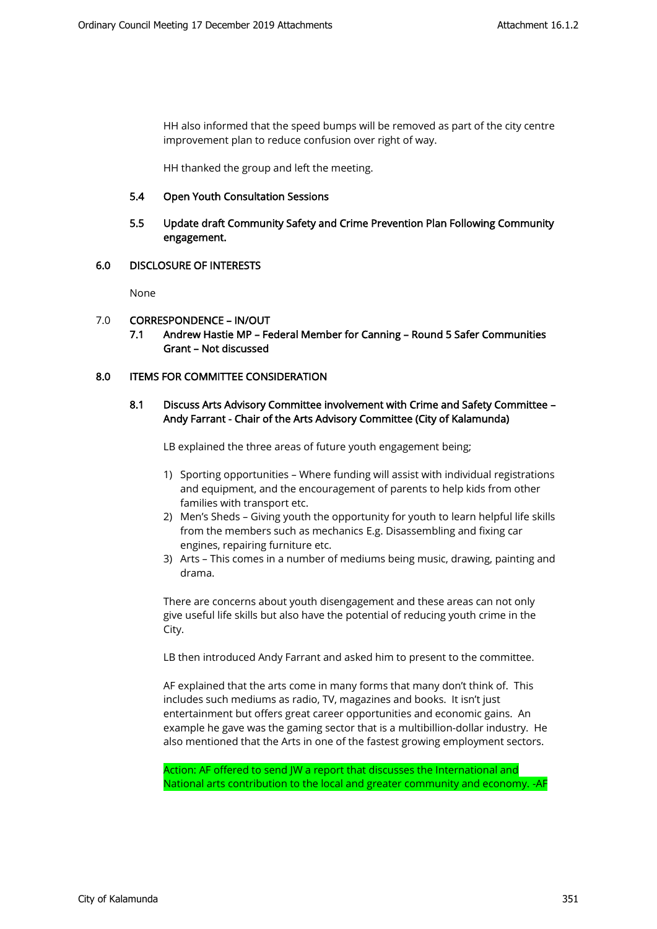HH also informed that the speed bumps will be removed as part of the city centre improvement plan to reduce confusion over right of way.

HH thanked the group and left the meeting.

### 5.4 Open Youth Consultation Sessions

### 5.5 Update draft Community Safety and Crime Prevention Plan Following Community engagement.

### 6.0 DISCLOSURE OF INTERESTS

None

### 7.0 CORRESPONDENCE – IN/OUT

7.1 Andrew Hastie MP – Federal Member for Canning – Round 5 Safer Communities Grant – Not discussed

### 8.0 **ITEMS FOR COMMITTEE CONSIDERATION**

### 8.1 Discuss Arts Advisory Committee involvement with Crime and Safety Committee – Andy Farrant - Chair of the Arts Advisory Committee (City of Kalamunda)

LB explained the three areas of future youth engagement being;

- 1) Sporting opportunities Where funding will assist with individual registrations and equipment, and the encouragement of parents to help kids from other families with transport etc.
- 2) Men's Sheds Giving youth the opportunity for youth to learn helpful life skills from the members such as mechanics E.g. Disassembling and fixing car engines, repairing furniture etc.
- 3) Arts This comes in a number of mediums being music, drawing, painting and drama.

There are concerns about youth disengagement and these areas can not only give useful life skills but also have the potential of reducing youth crime in the City.

LB then introduced Andy Farrant and asked him to present to the committee.

AF explained that the arts come in many forms that many don't think of. This includes such mediums as radio, TV, magazines and books. It isn't just entertainment but offers great career opportunities and economic gains. An example he gave was the gaming sector that is a multibillion-dollar industry. He also mentioned that the Arts in one of the fastest growing employment sectors.

Action: AF offered to send JW a report that discusses the International and National arts contribution to the local and greater community and economy. -AF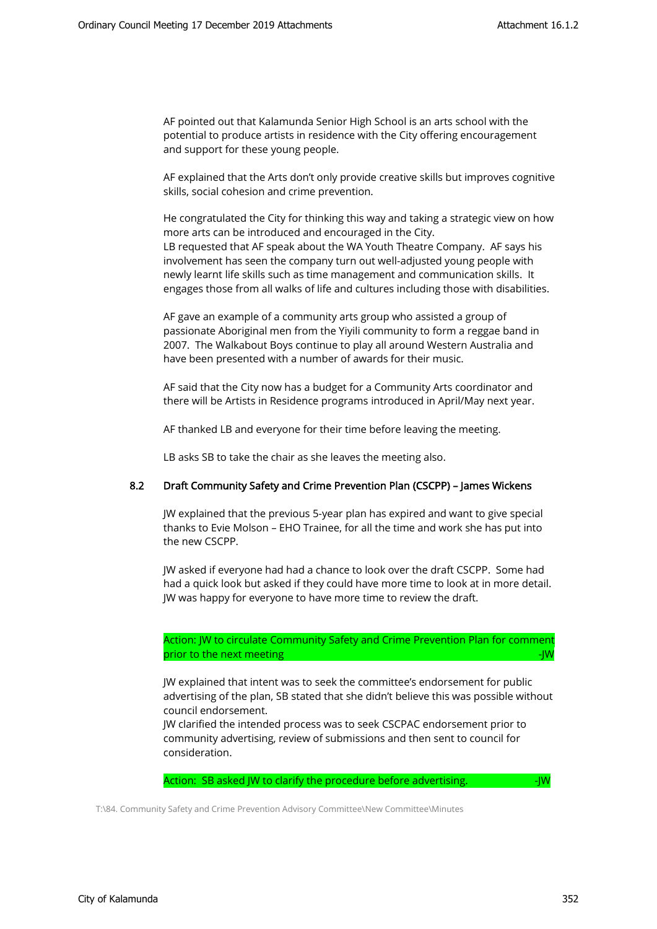AF pointed out that Kalamunda Senior High School is an arts school with the potential to produce artists in residence with the City offering encouragement and support for these young people.

AF explained that the Arts don't only provide creative skills but improves cognitive skills, social cohesion and crime prevention.

He congratulated the City for thinking this way and taking a strategic view on how more arts can be introduced and encouraged in the City.

LB requested that AF speak about the WA Youth Theatre Company. AF says his involvement has seen the company turn out well-adjusted young people with newly learnt life skills such as time management and communication skills. It engages those from all walks of life and cultures including those with disabilities.

AF gave an example of a community arts group who assisted a group of passionate Aboriginal men from the Yiyili community to form a reggae band in 2007. The Walkabout Boys continue to play all around Western Australia and have been presented with a number of awards for their music.

AF said that the City now has a budget for a Community Arts coordinator and there will be Artists in Residence programs introduced in April/May next year.

AF thanked LB and everyone for their time before leaving the meeting.

LB asks SB to take the chair as she leaves the meeting also.

#### 8.2 Draft Community Safety and Crime Prevention Plan (CSCPP) – James Wickens

JW explained that the previous 5-year plan has expired and want to give special thanks to Evie Molson – EHO Trainee, for all the time and work she has put into the new CSCPP.

JW asked if everyone had had a chance to look over the draft CSCPP. Some had had a quick look but asked if they could have more time to look at in more detail. JW was happy for everyone to have more time to review the draft.

Action: JW to circulate Community Safety and Crime Prevention Plan for comment prior to the next meeting -JW and the next meeting -JW and the next meeting -JW and the next meeting -JW and the next meeting -JW and the next meeting -JW and the next meeting -JW and the next meeting -JW and the next meet

JW explained that intent was to seek the committee's endorsement for public advertising of the plan, SB stated that she didn't believe this was possible without council endorsement.

JW clarified the intended process was to seek CSCPAC endorsement prior to community advertising, review of submissions and then sent to council for consideration.

Action: SB asked JW to clarify the procedure before advertising.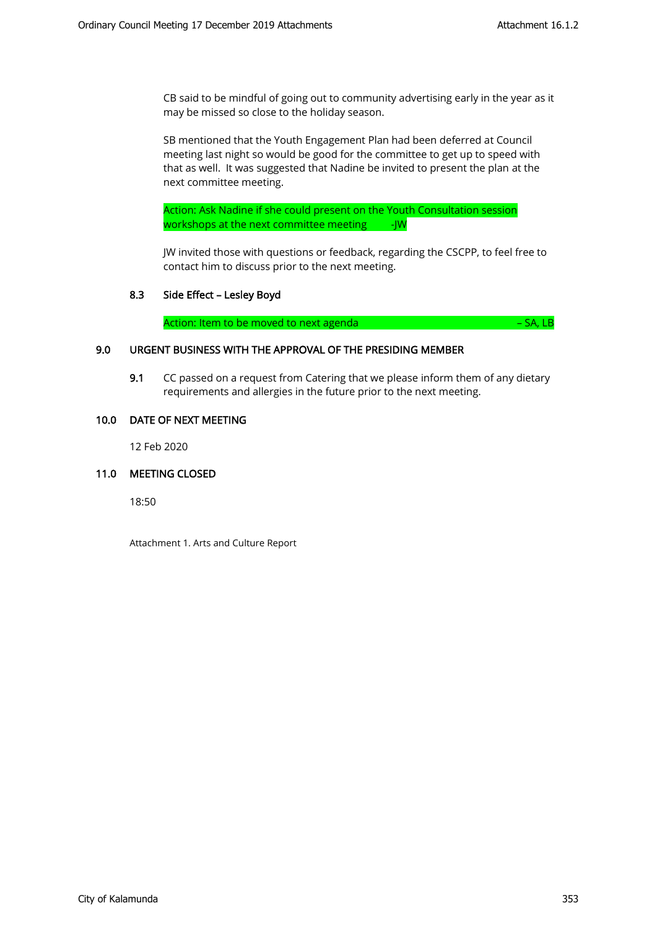CB said to be mindful of going out to community advertising early in the year as it may be missed so close to the holiday season.

SB mentioned that the Youth Engagement Plan had been deferred at Council meeting last night so would be good for the committee to get up to speed with that as well. It was suggested that Nadine be invited to present the plan at the next committee meeting.

Action: Ask Nadine if she could present on the Youth Consultation session workshops at the next committee meeting -JW

JW invited those with questions or feedback, regarding the CSCPP, to feel free to contact him to discuss prior to the next meeting.

### 8.3 Side Effect – Lesley Boyd

Action: Item to be moved to next agenda **Figure 10** and the set of the SA, LB

### 9.0 URGENT BUSINESS WITH THE APPROVAL OF THE PRESIDING MEMBER

9.1 CC passed on a request from Catering that we please inform them of any dietary requirements and allergies in the future prior to the next meeting.

### 10.0 DATE OF NEXT MEETING

12 Feb 2020

#### 11.0 MEETING CLOSED

18:50

Attachment 1. Arts and Culture Report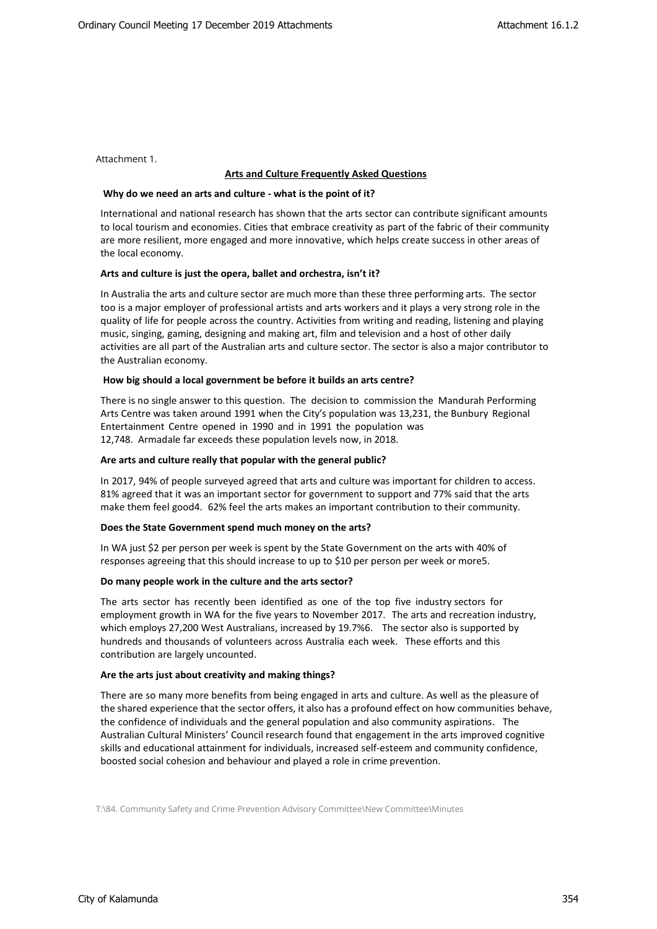Attachment 1.

#### **Arts and Culture Frequently Asked Questions**

#### **Why do we need an arts and culture - what is the point of it?**

International and national research has shown that the arts sector can contribute significant amounts to local tourism and economies. Cities that embrace creativity as part of the fabric of their community are more resilient, more engaged and more innovative, which helps create success in other areas of the local economy.

#### **Arts and culture is just the opera, ballet and orchestra, isn't it?**

In Australia the arts and culture sector are much more than these three performing arts. The sector too is a major employer of professional artists and arts workers and it plays a very strong role in the quality of life for people across the country. Activities from writing and reading, listening and playing music, singing, gaming, designing and making art, film and television and a host of other daily activities are all part of the Australian arts and culture sector. The sector is also a major contributor to the Australian economy.

#### **How big should a local government be before it builds an arts centre?**

There is no single answer to this question. The decision to commission the Mandurah Performing Arts Centre was taken around 1991 when the City's population was 13,231, the Bunbury Regional Entertainment Centre opened in 1990 and in 1991 the population was 12,748. Armadale far exceeds these population levels now, in 2018.

#### **Are arts and culture really that popular with the general public?**

In 2017, 94% of people surveyed agreed that arts and culture was important for children to access. 81% agreed that it was an important sector for government to support and 77% said that the arts make them feel good4. 62% feel the arts makes an important contribution to their community.

#### **Does the State Government spend much money on the arts?**

In WA just \$2 per person per week is spent by the State Government on the arts with 40% of responses agreeing that this should increase to up to \$10 per person per week or more5.

#### **Do many people work in the culture and the arts sector?**

The arts sector has recently been identified as one of the top five industry sectors for employment growth in WA for the five years to November 2017. The arts and recreation industry, which employs 27,200 West Australians, increased by 19.7%6. The sector also is supported by hundreds and thousands of volunteers across Australia each week. These efforts and this contribution are largely uncounted.

#### **Are the arts just about creativity and making things?**

There are so many more benefits from being engaged in arts and culture. As well as the pleasure of the shared experience that the sector offers, it also has a profound effect on how communities behave, the confidence of individuals and the general population and also community aspirations. The Australian Cultural Ministers' Council research found that engagement in the arts improved cognitive skills and educational attainment for individuals, increased self-esteem and community confidence, boosted social cohesion and behaviour and played a role in crime prevention.